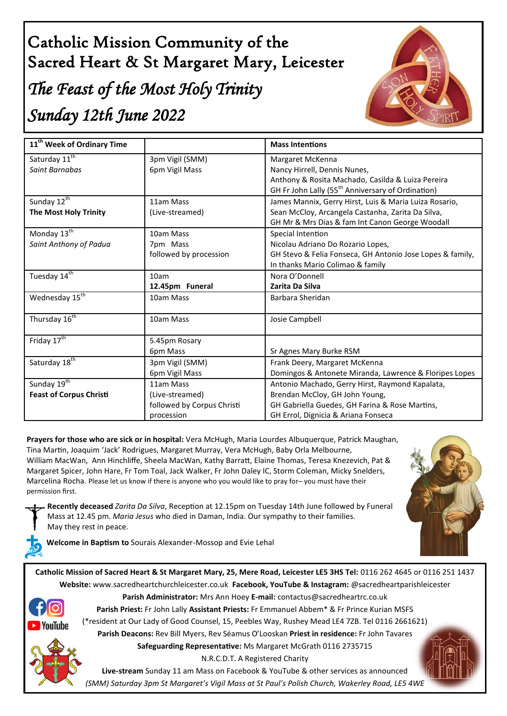# Catholic Mission Community of the Sacred Heart & St Margaret Mary, Leicester *The Feast of the Most Holy Trinity Sunday 12th June 2022*



| 11 <sup>th</sup> Week of Ordinary Time |                            | <b>Mass Intentions</b>                                        |
|----------------------------------------|----------------------------|---------------------------------------------------------------|
| Saturday 11 <sup>th</sup>              | 3pm Vigil (SMM)            | Margaret McKenna                                              |
| Saint Barnabas                         | 6pm Vigil Mass             | Nancy Hirrell, Dennis Nunes,                                  |
|                                        |                            | Anthony & Rosita Machado, Casilda & Luiza Pereira             |
|                                        |                            | GH Fr John Lally (55 <sup>th</sup> Anniversary of Ordination) |
| Sunday 12 <sup>th</sup>                | 11am Mass                  | James Mannix, Gerry Hirst, Luis & Maria Luiza Rosario,        |
| <b>The Most Holy Trinity</b>           | (Live-streamed)            | Sean McCloy, Arcangela Castanha, Zarita Da Silva,             |
|                                        |                            | GH Mr & Mrs Dias & fam Int Canon George Woodall               |
| Monday 13 <sup>th</sup>                | 10am Mass                  | Special Intention                                             |
| Saint Anthony of Padua                 | 7pm Mass                   | Nicolau Adriano Do Rozario Lopes,                             |
|                                        | followed by procession     | GH Stevo & Felia Fonseca, GH Antonio Jose Lopes & family,     |
|                                        |                            | In thanks Mario Colimao & family                              |
| Tuesday 14 <sup>th</sup>               | 10am                       | Nora O'Donnell                                                |
|                                        | 12.45pm Funeral            | Zarita Da Silva                                               |
| Wednesday 15 <sup>th</sup>             | 10am Mass                  | Barbara Sheridan                                              |
| Thursday 16 <sup>th</sup>              | 10am Mass                  | Josie Campbell                                                |
| Friday 17 <sup>th</sup>                | 5.45pm Rosary              |                                                               |
|                                        | 6pm Mass                   | Sr Agnes Mary Burke RSM                                       |
| Saturday 18 <sup>th</sup>              | 3pm Vigil (SMM)            | Frank Deery, Margaret McKenna                                 |
|                                        | 6pm Vigil Mass             | Domingos & Antonete Miranda, Lawrence & Floripes Lopes        |
| Sunday 19 <sup>th</sup>                | 11am Mass                  | Antonio Machado, Gerry Hirst, Raymond Kapalata,               |
| <b>Feast of Corpus Christi</b>         | (Live-streamed)            | Brendan McCloy, GH John Young,                                |
|                                        | followed by Corpus Christi | GH Gabriella Guedes, GH Farina & Rose Martins,                |
|                                        | procession                 | GH Errol, Dignicia & Ariana Fonseca                           |

**Prayers for those who are sick or in hospital:** Vera McHugh, Maria Lourdes Albuquerque, Patrick Maughan, Tina Martin, Joaquim 'Jack' Rodrigues, Margaret Murray, Vera McHugh, Baby Orla Melbourne, William MacWan, Ann Hinchliffe, Sheela MacWan, Kathy Barratt, Elaine Thomas, Teresa Knezevich, Pat & Margaret Spicer, John Hare, Fr Tom Toal, Jack Walker, Fr John Daley IC, Storm Coleman, Micky Snelders, Marcelina Rocha. Please let us know if there is anyone who you would like to pray for– you must have their permission first.



**Recently deceased** *Zarita Da Silva*, Reception at 12.15pm on Tuesday 14th June followed by Funeral Mass at 12.45 pm. *Maria Jesus* who died in Daman, India. Our sympathy to their families. May they rest in peace.



**Welcome in Baptism to** Sourais Alexander-Mossop and Evie Lehal

**Catholic Mission of Sacred Heart & St Margaret Mary, 25, Mere Road, Leicester LE5 3HS Tel:** 0116 262 4645 or 0116 251 1437 **Website:** www.sacredheartchurchleicester.co.uk **Facebook, YouTube & Instagram:** @sacredheartparishleicester



**Parish Administrator:** Mrs Ann Hoey **E-mail:** contactus@sacredheartrc.co.uk **Parish Priest:** Fr John Lally **Assistant Priests:** Fr Emmanuel Abbem\* & Fr Prince Kurian MSFS (\*resident at Our Lady of Good Counsel, 15, Peebles Way, Rushey Mead LE4 7ZB. Tel 0116 2661621) **Parish Deacons:** Rev Bill Myers, Rev Séamus O'Looskan **Priest in residence:** Fr John Tavares

**Safeguarding Representative:** Ms Margaret McGrath 0116 2735715

N.R.C.D.T. A Registered Charity

**Live-stream** Sunday 11 am Mass on Facebook & YouTube & other services as announced *(SMM) Saturday 3pm St Margaret's Vigil Mass at St Paul's Polish Church, Wakerley Road, LE5 4WE*